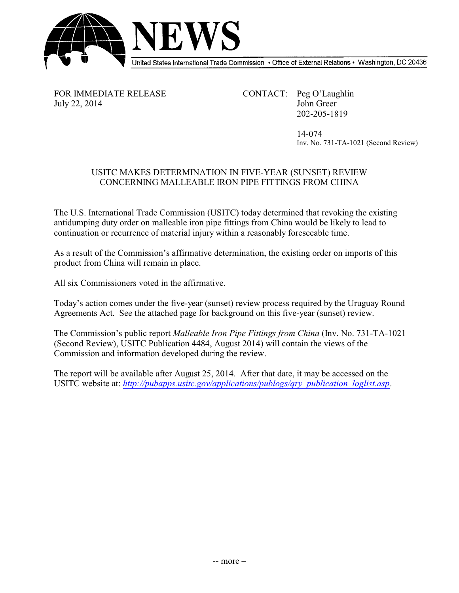

FOR IMMEDIATE RELEASE CONTACT: Peg O'Laughlin July 22, 2014 John Greer 202-205-1819

> 14-074 Inv. No. 731-TA-1021 (Second Review)

## USITC MAKES DETERMINATION IN FIVE-YEAR (SUNSET) REVIEW CONCERNING MALLEABLE IRON PIPE FITTINGS FROM CHINA

The U.S. International Trade Commission (USITC) today determined that revoking the existing antidumping duty order on malleable iron pipe fittings from China would be likely to lead to continuation or recurrence of material injury within a reasonably foreseeable time.

As a result of the Commission's affirmative determination, the existing order on imports of this product from China will remain in place.

All six Commissioners voted in the affirmative.

Today's action comes under the five-year (sunset) review process required by the Uruguay Round Agreements Act. See the attached page for background on this five-year (sunset) review.

The Commission's public report *Malleable Iron Pipe Fittings from China* (Inv. No. 731-TA-1021 (Second Review), USITC Publication 4484, August 2014) will contain the views of the Commission and information developed during the review.

The report will be available after August 25, 2014. After that date, it may be accessed on the USITC website at: *[http://pubapps.usitc.gov/applications/publogs/qry\\_publication\\_loglist.asp](%20http://pubapps.usitc.gov/applications/publogs/qry_publication_loglist.asp)*.